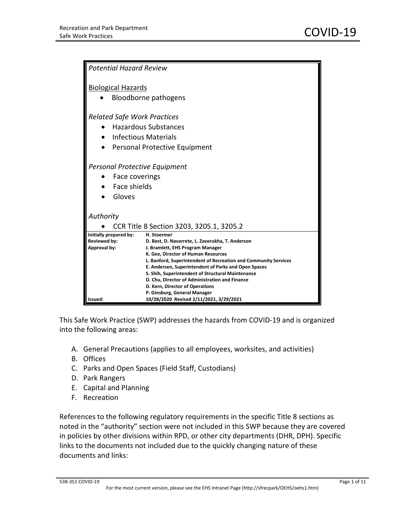| <b>Potential Hazard Review</b>                                                                                             |                                                                                                                                                                                                                                                                                                                                                                                                                                  |
|----------------------------------------------------------------------------------------------------------------------------|----------------------------------------------------------------------------------------------------------------------------------------------------------------------------------------------------------------------------------------------------------------------------------------------------------------------------------------------------------------------------------------------------------------------------------|
| <b>Biological Hazards</b><br>Bloodborne pathogens                                                                          |                                                                                                                                                                                                                                                                                                                                                                                                                                  |
| <b>Related Safe Work Practices</b><br><b>Hazardous Substances</b><br>Infectious Materials<br>Personal Protective Equipment |                                                                                                                                                                                                                                                                                                                                                                                                                                  |
| <b>Personal Protective Equipment</b><br>Face coverings<br>Face shields<br>Gloves                                           |                                                                                                                                                                                                                                                                                                                                                                                                                                  |
| Authority<br>CCR Title 8 Section 3203, 3205.1, 3205.2                                                                      |                                                                                                                                                                                                                                                                                                                                                                                                                                  |
| Initially prepared by:<br>H. Stoermer<br><b>Reviewed by:</b><br>Approval by:                                               | D. Best, D. Navarrete, L. Zaverukha, T. Anderson<br>J. Bramlett, EHS Program Manager<br>K. Gee, Director of Human Resources<br>L. Banford, Superintendent of Recreation and Community Services<br>E. Andersen, Superintendent of Parks and Open Spaces<br>S. Shih, Superintendent of Structural Maintenance<br>D. Chu, Director of Administration and Finance<br>D. Kern, Director of Operations<br>P. Ginsburg, General Manager |
| Issued:                                                                                                                    | 10/28/2020 Revised 2/11/2021, 3/29/2021                                                                                                                                                                                                                                                                                                                                                                                          |

This Safe Work Practice (SWP) addresses the hazards from COVID-19 and is organized into the following areas:

- A. General Precautions (applies to all employees, worksites, and activities)
- B. Offices
- C. Parks and Open Spaces (Field Staff, Custodians)
- D. Park Rangers
- E. Capital and Planning
- F. Recreation

References to the following regulatory requirements in the specific Title 8 sections as noted in the "authority" section were not included in this SWP because they are covered in policies by other divisions within RPD, or other city departments (DHR, DPH). Specific links to the documents not included due to the quickly changing nature of these documents and links:

#### 538-351 COVID-19 Page 1 of 11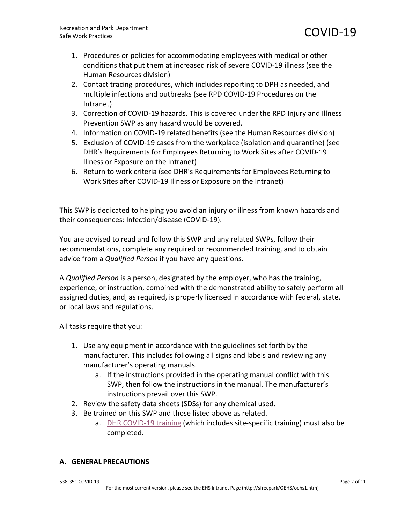- 1. Procedures or policies for accommodating employees with medical or other conditions that put them at increased risk of severe COVID-19 illness (see the Human Resources division)
- 2. Contact tracing procedures, which includes reporting to DPH as needed, and multiple infections and outbreaks (see RPD COVID-19 Procedures on the Intranet)
- 3. Correction of COVID-19 hazards. This is covered under the RPD Injury and Illness Prevention SWP as any hazard would be covered.
- 4. Information on COVID-19 related benefits (see the Human Resources division)
- 5. Exclusion of COVID-19 cases from the workplace (isolation and quarantine) (see DHR's Requirements for Employees Returning to Work Sites after COVID-19 Illness or Exposure on the Intranet)
- 6. Return to work criteria (see DHR's Requirements for Employees Returning to Work Sites after COVID-19 Illness or Exposure on the Intranet)

This SWP is dedicated to helping you avoid an injury or illness from known hazards and their consequences: Infection/disease (COVID-19).

You are advised to read and follow this SWP and any related SWPs, follow their recommendations, complete any required or recommended training, and to obtain advice from a *Qualified Person* if you have any questions.

A *Qualified Person* is a person, designated by the employer, who has the training, experience, or instruction, combined with the demonstrated ability to safely perform all assigned duties, and, as required, is properly licensed in accordance with federal, state, or local laws and regulations.

All tasks require that you:

- 1. Use any equipment in accordance with the guidelines set forth by the manufacturer. This includes following all signs and labels and reviewing any manufacturer's operating manuals.
	- a. If the instructions provided in the operating manual conflict with this SWP, then follow the instructions in the manual. The manufacturer's instructions prevail over this SWP.
- 2. Review the safety data sheets (SDSs) for any chemical used.
- 3. Be trained on this SWP and those listed above as related.
	- a. [DHR COVID-19 training](https://rpd-u.org/wp-content/uploads/Instructions-for-SFLearning_COVID-19.pdf) (which includes site-specific training) must also be completed.

#### **A. GENERAL PRECAUTIONS**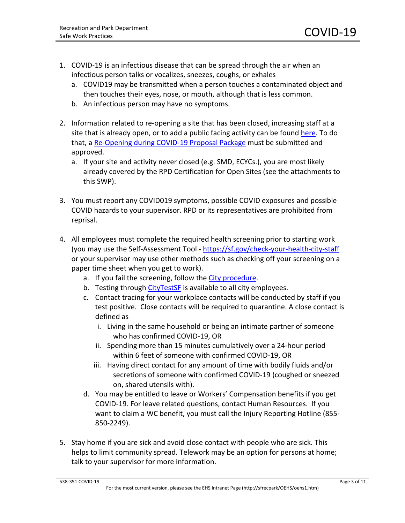- 1. COVID-19 is an infectious disease that can be spread through the air when an infectious person talks or vocalizes, sneezes, coughs, or exhales
	- a. COVID19 may be transmitted when a person touches a contaminated object and then touches their eyes, nose, or mouth, although that is less common.
	- b. An infectious person may have no symptoms.
- 2. Information related to re-opening a site that has been closed, increasing staff at a site that is already open, or to add a public facing activity can be found [here.](https://rpdnet.org/coronavirus-covid-19/instructions-for-submission-of-site-and-actvity-proposals-for-safer-operation-during-covid/) To do that, a [Re-Opening during COVID-19 Proposal Package](https://rpdnet.org/coronavirus-covid-19/instructions-for-submission-of-site-and-actvity-proposals-for-safer-operation-during-covid/) must be submitted and approved.
	- a. If your site and activity never closed (e.g. SMD, ECYCs.), you are most likely already covered by the RPD Certification for Open Sites (see the attachments to this SWP).
- 3. You must report any COVID019 symptoms, possible COVID exposures and possible COVID hazards to your supervisor. RPD or its representatives are prohibited from reprisal.
- 4. All employees must complete the required health screening prior to starting work (you may use the Self-Assessment Tool - <https://sf.gov/check-your-health-city-staff> or your supervisor may use other methods such as checking off your screening on a paper time sheet when you get to work).
	- a. If you fail the screening, follow the [City procedure.](https://sf.gov/information/return-work-city-staff)
	- b. Testing through [CityTestSF](https://sf.gov/find-out-about-your-covid-19-testing-options) is available to all city employees.
	- c. Contact tracing for your workplace contacts will be conducted by staff if you test positive. Close contacts will be required to quarantine. A close contact is defined as
		- i. Living in the same household or being an intimate partner of someone who has confirmed COVID-19, OR
		- ii. Spending more than 15 minutes cumulatively over a 24-hour period within 6 feet of someone with confirmed COVID-19, OR
		- iii. Having direct contact for any amount of time with bodily fluids and/or secretions of someone with confirmed COVID-19 (coughed or sneezed on, shared utensils with).
	- d. You may be entitled to leave or Workers' Compensation benefits if you get COVID-19. For leave related questions, contact Human Resources. If you want to claim a WC benefit, you must call the Injury Reporting Hotline (855- 850-2249).
- 5. Stay home if you are sick and avoid close contact with people who are sick. This helps to limit community spread. Telework may be an option for persons at home; talk to your supervisor for more information.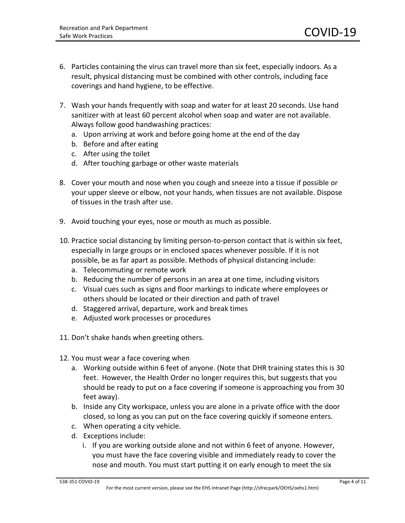- 6. Particles containing the virus can travel more than six feet, especially indoors. As a result, physical distancing must be combined with other controls, including face coverings and hand hygiene, to be effective.
- 7. Wash your hands frequently with soap and water for at least 20 seconds. Use hand sanitizer with at least 60 percent alcohol when soap and water are not available. Always follow good handwashing practices:
	- a. Upon arriving at work and before going home at the end of the day
	- b. Before and after eating
	- c. After using the toilet
	- d. After touching garbage or other waste materials
- 8. Cover your mouth and nose when you cough and sneeze into a tissue if possible or your upper sleeve or elbow, not your hands, when tissues are not available. Dispose of tissues in the trash after use.
- 9. Avoid touching your eyes, nose or mouth as much as possible.
- 10. Practice social distancing by limiting person-to-person contact that is within six feet, especially in large groups or in enclosed spaces whenever possible. If it is not possible, be as far apart as possible. Methods of physical distancing include:
	- a. Telecommuting or remote work
	- b. Reducing the number of persons in an area at one time, including visitors
	- c. Visual cues such as signs and floor markings to indicate where employees or others should be located or their direction and path of travel
	- d. Staggered arrival, departure, work and break times
	- e. Adjusted work processes or procedures
- 11. Don't shake hands when greeting others.
- 12. You must wear a face covering when
	- a. Working outside within 6 feet of anyone. (Note that DHR training states this is 30 feet. However, the Health Order no longer requires this, but suggests that you should be ready to put on a face covering if someone is approaching you from 30 feet away).
	- b. Inside any City workspace, unless you are alone in a private office with the door closed, so long as you can put on the face covering quickly if someone enters.
	- c. When operating a city vehicle.
	- d. Exceptions include:
		- i. If you are working outside alone and not within 6 feet of anyone. However, you must have the face covering visible and immediately ready to cover the nose and mouth. You must start putting it on early enough to meet the six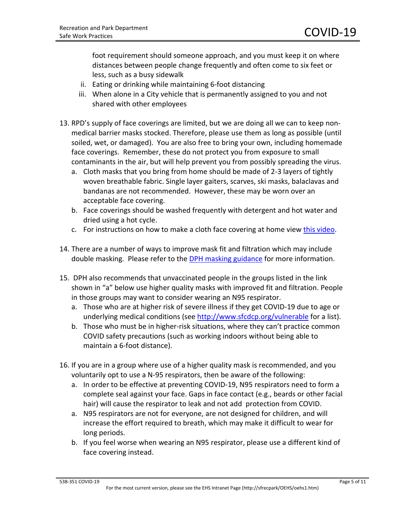foot requirement should someone approach, and you must keep it on where distances between people change frequently and often come to six feet or less, such as a busy sidewalk

- ii. Eating or drinking while maintaining 6-foot distancing
- iii. When alone in a City vehicle that is permanently assigned to you and not shared with other employees
- 13. RPD's supply of face coverings are limited, but we are doing all we can to keep nonmedical barrier masks stocked. Therefore, please use them as long as possible (until soiled, wet, or damaged). You are also free to bring your own, including homemade face coverings. Remember, these do not protect you from exposure to small contaminants in the air, but will help prevent you from possibly spreading the virus.
	- a. Cloth masks that you bring from home should be made of 2-3 layers of tightly woven breathable fabric. Single layer gaiters, scarves, ski masks, balaclavas and bandanas are not recommended. However, these may be worn over an acceptable face covering.
	- b. Face coverings should be washed frequently with detergent and hot water and dried using a hot cycle.
	- c. For instructions on how to make a cloth face covering at home vie[w this video.](https://www.cdc.gov/coronavirus/2019-ncov/prevent-getting-sick/cloth-face-cover.html)
- 14. There are a number of ways to improve mask fit and filtration which may include double masking. Please refer to the [DPH masking guidance](https://1bptou27qgaz3681gh1n4r56-wpengine.netdna-ssl.com/wp-content/uploads/6390-1229-DPH-Update-on-Masking-When-and-How-to-Use-Higher-Quality-Masks-3.16.21.pdf) for more information.
- 15. DPH also recommends that unvaccinated people in the groups listed in the link shown in "a" below use higher quality masks with improved fit and filtration. People in those groups may want to consider wearing an N95 respirator.
	- a. Those who are at higher risk of severe illness if they get COVID-19 due to age or underlying medical conditions (see<http://www.sfcdcp.org/vulnerable> for a list).
	- b. Those who must be in higher-risk situations, where they can't practice common COVID safety precautions (such as working indoors without being able to maintain a 6-foot distance).
- 16. If you are in a group where use of a higher quality mask is recommended, and you voluntarily opt to use a N-95 respirators, then be aware of the following:
	- a. In order to be effective at preventing COVID-19, N95 respirators need to form a complete seal against your face. Gaps in face contact (e.g., beards or other facial hair) will cause the respirator to leak and not add protection from COVID.
	- a. N95 respirators are not for everyone, are not designed for children, and will increase the effort required to breath, which may make it difficult to wear for long periods.
	- b. If you feel worse when wearing an N95 respirator, please use a different kind of face covering instead.

#### 538-351 COVID-19 Page 5 of 11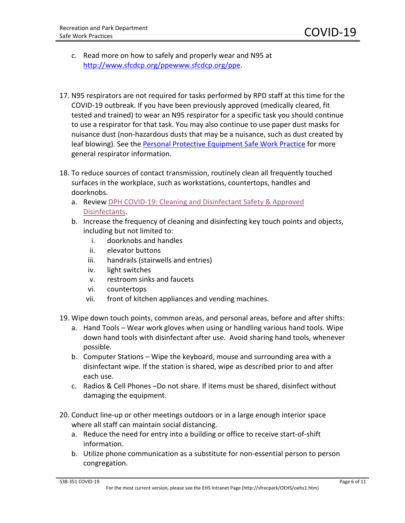- c. Read more on how to safely and properly wear and N95 at [http://www.sfcdcp.org/ppewww.sfcdcp.org/ppe.](http://www.sfcdcp.org/ppewww.sfcdcp.org/ppe)
- 17. N95 respirators are not required for tasks performed by RPD staff at this time for the COVID-19 outbreak. If you have been previously approved (medically cleared, fit tested and trained) to wear an N95 respirator for a specific task you should continue to use a respirator for that task. You may also continue to use paper dust masks for nuisance dust (non-hazardous dusts that may be a nuisance, such as dust created by leaf blowing). See the [Personal Protective Equipment Safe Work Practice](https://1bptou27qgaz3681gh1n4r56-wpengine.netdna-ssl.com/wp-content/uploads/538-239-PPE-1.pdf) for more general respirator information.
- 18. To reduce sources of contact transmission, routinely clean all frequently touched surfaces in the workplace, such as workstations, countertops, handles and doorknobs.
	- a. Review [DPH COVID-19: Cleaning and Disinfectant Safety & Approved](https://1bptou27qgaz3681gh1n4r56-wpengine.netdna-ssl.com/wp-content/uploads/6390-959-DPH-COVID-19-Cleaning-and-Disinfectant-Safety-Approved-Disinfectants-12.1.20.pdf)  [Disinfectants.](https://1bptou27qgaz3681gh1n4r56-wpengine.netdna-ssl.com/wp-content/uploads/6390-959-DPH-COVID-19-Cleaning-and-Disinfectant-Safety-Approved-Disinfectants-12.1.20.pdf)
	- b. Increase the frequency of cleaning and disinfecting key touch points and objects, including but not limited to:
		- i. doorknobs and handles
		- ii. elevator buttons
		- iii. handrails (stairwells and entries)
		- iv. light switches
		- v. restroom sinks and faucets
		- vi. countertops
		- vii. front of kitchen appliances and vending machines.
- 19. Wipe down touch points, common areas, and personal areas, before and after shifts:
	- a. Hand Tools Wear work gloves when using or handling various hand tools. Wipe down hand tools with disinfectant after use. Avoid sharing hand tools, whenever possible.
	- b. Computer Stations Wipe the keyboard, mouse and surrounding area with a disinfectant wipe. If the station is shared, wipe as described prior to and after each use.
	- c. Radios & Cell Phones –Do not share. If items must be shared, disinfect without damaging the equipment.
- 20. Conduct line-up or other meetings outdoors or in a large enough interior space where all staff can maintain social distancing.
	- a. Reduce the need for entry into a building or office to receive start-of-shift information.
	- b. Utilize phone communication as a substitute for non-essential person to person congregation.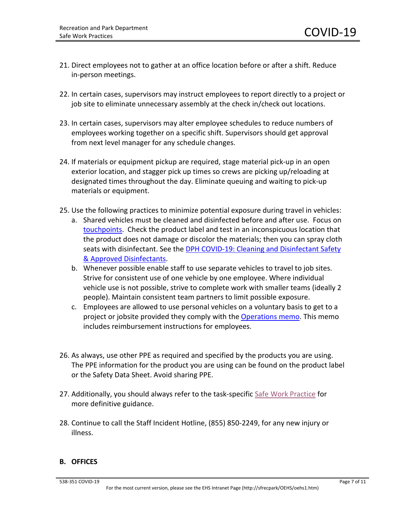- 21. Direct employees not to gather at an office location before or after a shift. Reduce in-person meetings.
- 22. In certain cases, supervisors may instruct employees to report directly to a project or job site to eliminate unnecessary assembly at the check in/check out locations.
- 23. In certain cases, supervisors may alter employee schedules to reduce numbers of employees working together on a specific shift. Supervisors should get approval from next level manager for any schedule changes.
- 24. If materials or equipment pickup are required, stage material pick-up in an open exterior location, and stagger pick up times so crews are picking up/reloading at designated times throughout the day. Eliminate queuing and waiting to pick-up materials or equipment.
- 25. Use the following practices to minimize potential exposure during travel in vehicles:
	- a. Shared vehicles must be cleaned and disinfected before and after use. Focus on [touchpoints.](https://1bptou27qgaz3681gh1n4r56-wpengine.netdna-ssl.com/wp-content/uploads/Vehicle-Disinfection-Wipe-Down-Areas093020.pdf) Check the product label and test in an inconspicuous location that the product does not damage or discolor the materials; then you can spray cloth seats with disinfectant. See th[e DPH COVID-19: Cleaning and Disinfectant Safety](https://1bptou27qgaz3681gh1n4r56-wpengine.netdna-ssl.com/wp-content/uploads/6390-959-DPH-COVID-19-Cleaning-and-Disinfectant-Safety-Approved-Disinfectants-12.1.20.pdf)  [& Approved Disinfectants.](https://1bptou27qgaz3681gh1n4r56-wpengine.netdna-ssl.com/wp-content/uploads/6390-959-DPH-COVID-19-Cleaning-and-Disinfectant-Safety-Approved-Disinfectants-12.1.20.pdf)
	- b. Whenever possible enable staff to use separate vehicles to travel to job sites. Strive for consistent use of one vehicle by one employee. Where individual vehicle use is not possible, strive to complete work with smaller teams (ideally 2 people). Maintain consistent team partners to limit possible exposure.
	- c. Employees are allowed to use personal vehicles on a voluntary basis to get to a project or jobsite provided they comply with th[e Operations memo.](https://1bptou27qgaz3681gh1n4r56-wpengine.netdna-ssl.com/wp-content/uploads/COVID-19-POV-for-business-use-memo.pdf) This memo includes reimbursement instructions for employees.
- 26. As always, use other PPE as required and specified by the products you are using. The PPE information for the product you are using can be found on the product label or the Safety Data Sheet. Avoid sharing PPE.
- 27. Additionally, you should always refer to the task-specific [Safe Work Practice](http://sfrecpark/?page_id=1198) for more definitive guidance.
- 28. Continue to call the Staff Incident Hotline, (855) 850-2249, for any new injury or illness.

#### **B. OFFICES**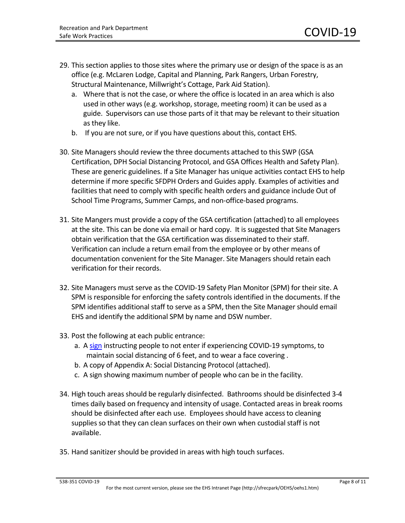- 29. This section applies to those sites where the primary use or design of the space is as an office (e.g. McLaren Lodge, Capital and Planning, Park Rangers, Urban Forestry, Structural Maintenance, Millwright's Cottage, Park Aid Station).
	- a. Where that is not the case, or where the office is located in an area which is also used in other ways (e.g. workshop, storage, meeting room) it can be used as a guide. Supervisors can use those parts of it that may be relevant to their situation as they like.
	- b. If you are not sure, or if you have questions about this, contact EHS.
- 30. Site Managers should review the three documents attached to this SWP (GSA Certification, DPH Social Distancing Protocol, and GSA Offices Health and Safety Plan). These are generic guidelines. If a Site Manager has unique activities contact EHS to help determine if more specific SFDPH Orders and Guides apply. Examples of activities and facilities that need to comply with specific health orders and guidance include Out of School Time Programs, Summer Camps, and non-office-based programs.
- 31. Site Mangers must provide a copy of the GSA certification (attached) to all employees at the site. This can be done via email or hard copy. It is suggested that Site Managers obtain verification that the GSA certification was disseminated to their staff. Verification can include a return email from the employee or by other means of documentation convenient for the Site Manager. Site Managers should retain each verification for their records.
- 32. Site Managers must serve as the COVID-19 Safety Plan Monitor (SPM) for their site. A SPM is responsible for enforcing the safety controls identified in the documents. If the SPM identifies additional staff to serve as a SPM, then the Site Manager should email EHS and identify the additional SPM by name and DSW number.
- 33. Post the following at each public entrance:
	- a. A [sign](https://sf.gov/outreach-toolkit-coronavirus-covid-19) instructing people to not enter if experiencing COVID-19 symptoms, to maintain social distancing of 6 feet, and to wear a face covering .
	- b. A copy of Appendix A: Social Distancing Protocol (attached).
	- c. A sign showing maximum number of people who can be in the facility.
- 34. High touch areas should be regularly disinfected. Bathrooms should be disinfected 3-4 times daily based on frequency and intensity of usage. Contacted areas in break rooms should be disinfected after each use. Employees should have access to cleaning supplies so that they can clean surfaces on their own when custodial staff is not available.
- 35. Hand sanitizer should be provided in areas with high touch surfaces.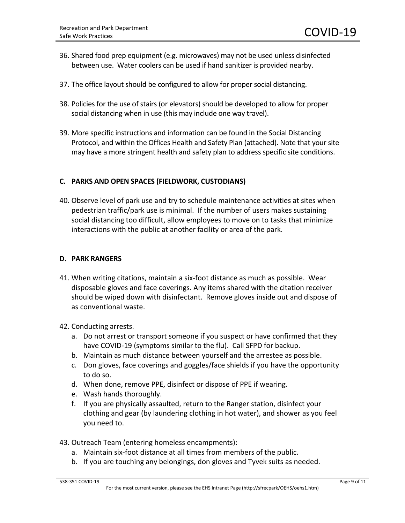- 36. Shared food prep equipment (e.g. microwaves) may not be used unless disinfected between use. Water coolers can be used if hand sanitizer is provided nearby.
- 37. The office layout should be configured to allow for proper social distancing.
- 38. Policies for the use of stairs (or elevators) should be developed to allow for proper social distancing when in use (this may include one way travel).
- 39. More specific instructions and information can be found in the Social Distancing Protocol, and within the Offices Health and Safety Plan (attached). Note that your site may have a more stringent health and safety plan to address specific site conditions.

#### **C. PARKS AND OPEN SPACES (FIELDWORK, CUSTODIANS)**

40. Observe level of park use and try to schedule maintenance activities at sites when pedestrian traffic/park use is minimal. If the number of users makes sustaining social distancing too difficult, allow employees to move on to tasks that minimize interactions with the public at another facility or area of the park.

#### **D. PARK RANGERS**

- 41. When writing citations, maintain a six-foot distance as much as possible. Wear disposable gloves and face coverings. Any items shared with the citation receiver should be wiped down with disinfectant. Remove gloves inside out and dispose of as conventional waste.
- 42. Conducting arrests.
	- a. Do not arrest or transport someone if you suspect or have confirmed that they have COVID-19 (symptoms similar to the flu). Call SFPD for backup.
	- b. Maintain as much distance between yourself and the arrestee as possible.
	- c. Don gloves, face coverings and goggles/face shields if you have the opportunity to do so.
	- d. When done, remove PPE, disinfect or dispose of PPE if wearing.
	- e. Wash hands thoroughly.
	- f. If you are physically assaulted, return to the Ranger station, disinfect your clothing and gear (by laundering clothing in hot water), and shower as you feel you need to.
- 43. Outreach Team (entering homeless encampments):
	- a. Maintain six-foot distance at all times from members of the public.
	- b. If you are touching any belongings, don gloves and Tyvek suits as needed.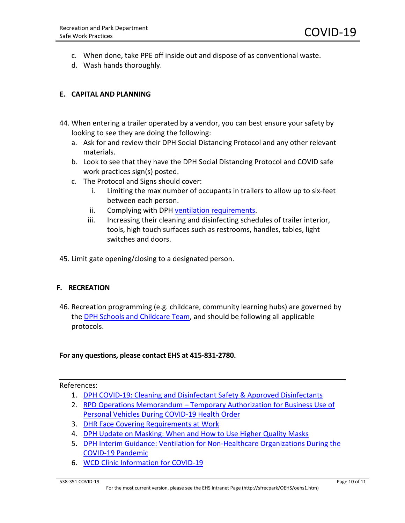- c. When done, take PPE off inside out and dispose of as conventional waste.
- d. Wash hands thoroughly.

### **E. CAPITAL AND PLANNING**

- 44. When entering a trailer operated by a vendor, you can best ensure your safety by looking to see they are doing the following:
	- a. Ask for and review their DPH Social Distancing Protocol and any other relevant materials.
	- b. Look to see that they have the DPH Social Distancing Protocol and COVID safe work practices sign(s) posted.
	- c. The Protocol and Signs should cover:
		- i. Limiting the max number of occupants in trailers to allow up to six-feet between each person.
		- ii. Complying with DPH [ventilation requirements.](https://1bptou27qgaz3681gh1n4r56-wpengine.netdna-ssl.com/wp-content/uploads/6390-849-DPH-Interim-Guidance-Ventilation-During-the-COVID-19-Pandemic-10.20.20.pdf)
		- iii. Increasing their cleaning and disinfecting schedules of trailer interior, tools, high touch surfaces such as restrooms, handles, tables, light switches and doors.
- 45. Limit gate opening/closing to a designated person.

#### **F. RECREATION**

46. Recreation programming (e.g. childcare, community learning hubs) are governed by the [DPH Schools and Childcare Team,](https://www.sfdph.org/dph/COVID-19/Schools-Education.asp) and should be following all applicable protocols.

#### **For any questions, please contact EHS at 415-831-2780.**

#### References:

- 1. [DPH COVID-19: Cleaning and Disinfectant Safety & Approved Disinfectants](https://1bptou27qgaz3681gh1n4r56-wpengine.netdna-ssl.com/wp-content/uploads/6390-959-DPH-COVID-19-Cleaning-and-Disinfectant-Safety-Approved-Disinfectants-12.1.20.pdf)
- 2. RPD Operations Memorandum [Temporary Authorization for Business Use of](https://1bptou27qgaz3681gh1n4r56-wpengine.netdna-ssl.com/wp-content/uploads/COVID-19-POV-for-business-use-memo.pdf)  [Personal Vehicles During COVID-19 Health Order](https://1bptou27qgaz3681gh1n4r56-wpengine.netdna-ssl.com/wp-content/uploads/COVID-19-POV-for-business-use-memo.pdf)
- 3. [DHR Face Covering Requirements at Work](http://1bptou27qgaz3681gh1n4r56-wpengine.netdna-ssl.com/wp-content/uploads/6390-657-DHR-Face-Coverings-Policy.6.5.2020-Final-REVISED-8.4.20.pdf)
- 4. [DPH Update on Masking: When and How to Use Higher Quality Masks](https://1bptou27qgaz3681gh1n4r56-wpengine.netdna-ssl.com/wp-content/uploads/6390-1229-DPH-Update-on-Masking-When-and-How-to-Use-Higher-Quality-Masks-3.16.21.pdf)
- 5. [DPH Interim Guidance: Ventilation for Non-Healthcare Organizations During the](https://1bptou27qgaz3681gh1n4r56-wpengine.netdna-ssl.com/wp-content/uploads/6390-849-DPH-Interim-Guidance-Ventilation-During-the-COVID-19-Pandemic-10.20.20.pdf)  [COVID-19 Pandemic](https://1bptou27qgaz3681gh1n4r56-wpengine.netdna-ssl.com/wp-content/uploads/6390-849-DPH-Interim-Guidance-Ventilation-During-the-COVID-19-Pandemic-10.20.20.pdf)
- 6. [WCD Clinic Information for COVID-19](http://1bptou27qgaz3681gh1n4r56-wpengine.netdna-ssl.com/wp-content/uploads/6390-064-WCD-Clinic-info-COVID-19.pdf)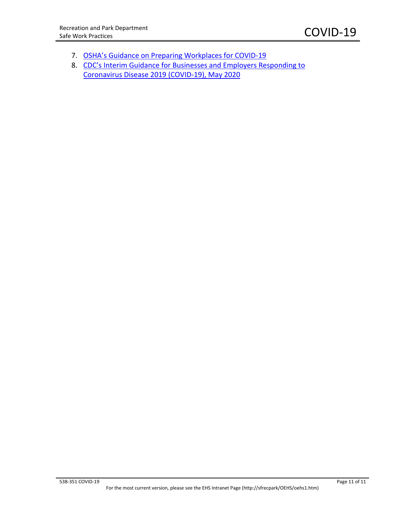- 7. OSHA's Guidance on [Preparing](https://www.osha.gov/Publications/OSHA3990.pdf) Workplaces for COVID-19
- 8. [CDC's Interim Guidance for Businesses and Employers Responding to](https://www.cdc.gov/coronavirus/2019-ncov/community/guidance-business-response.html?CDC_AA_refVal=https%3A%2F%2Fwww.cdc.gov%2Fcoronavirus%2F2019-ncov%2Fspecific-groups%2Fguidance-business-response.html)  [Coronavirus Disease 2019 \(COVID-19\), May 2020](https://www.cdc.gov/coronavirus/2019-ncov/community/guidance-business-response.html?CDC_AA_refVal=https%3A%2F%2Fwww.cdc.gov%2Fcoronavirus%2F2019-ncov%2Fspecific-groups%2Fguidance-business-response.html)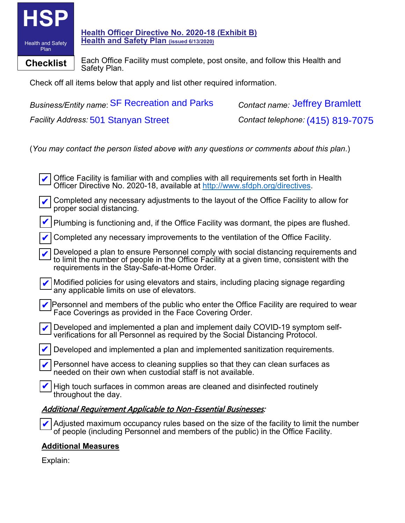

**Health Officer Directive No. 2020-18 (Exhibit B) Health and Safety Plan (issued 6/13/2020)**

**Checklist** Each Office Facility must complete, post onsite, and follow this Health and Safety Plan.

Check off all items below that apply and list other required information.

**Business/Entity name: SF Recreation and Parks Facility Address: 501 Stanyan Street** Contact name Jeffrey Bramlett Contact telephone: (415) 819-7075

(*You may contact the person listed above with any questions or comments about this plan*.)

| Office Facility is familiar with and complies with all requirements set forth in Health<br>Officer Directive No. 2020-18, available at http://www.sfdph.org/directives.                                                          |
|----------------------------------------------------------------------------------------------------------------------------------------------------------------------------------------------------------------------------------|
| Completed any necessary adjustments to the layout of the Office Facility to allow for<br>proper social distancing.                                                                                                               |
| Plumbing is functioning and, if the Office Facility was dormant, the pipes are flushed.                                                                                                                                          |
| Completed any necessary improvements to the ventilation of the Office Facility.                                                                                                                                                  |
| Developed a plan to ensure Personnel comply with social distancing requirements and<br>to limit the number of people in the Office Facility at a given time, consistent with the<br>requirements in the Stay-Safe-at-Home Order. |
| Modified policies for using elevators and stairs, including placing signage regarding<br>any applicable limits on use of elevators.                                                                                              |
| Personnel and members of the public who enter the Office Facility are required to wear<br>Face Coverings as provided in the Face Covering Order.                                                                                 |
| Developed and implemented a plan and implement daily COVID-19 symptom self-<br>verifications for all Personnel as required by the Social Distancing Protocol.                                                                    |
| Developed and implemented a plan and implemented sanitization requirements.                                                                                                                                                      |
| Personnel have access to cleaning supplies so that they can clean surfaces as<br>needed on their own when custodial staff is not available.                                                                                      |
| High touch surfaces in common areas are cleaned and disinfected routinely<br>throughout the day.                                                                                                                                 |
| <u> Additional Requirement Applicable to Non-Essential Businesses:</u>                                                                                                                                                           |
| Adjusted maximum occupancy rules based on the size of the facility to limit the number<br>of people (including Personnel and members of the public) in the Office Facility.                                                      |

# **Additional Measures**

Explain: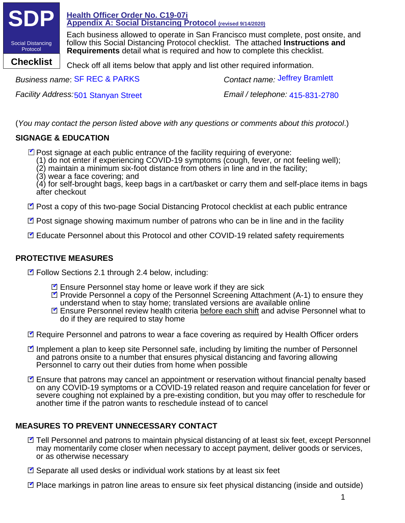

*Business name:* **SF REC & PARKS** 

**Facility Address: 501 Stanyan Street** 

Contact name: Jeffrey Bramlett

Email / telephone: 415-831-2780

(*You may contact the person listed above with any questions or comments about this protocol*.)

# **SIGNAGE & EDUCATION**

■ Post signage at each public entrance of the facility requiring of everyone:

- (1) do not enter if experiencing COVID-19 symptoms (cough, fever, or not feeling well);
- $(2)$  maintain a minimum six-foot distance from others in line and in the facility;
- (3) wear a face covering; and

(4) for self-brought bags, keep bags in a cart/basket or carry them and self-place items in bags after checkout

- ☑ Post a copy of this two-page Social Distancing Protocol checklist at each public entrance
- ☑ Post signage showing maximum number of patrons who can be in line and in the facility
- **Ø** Educate Personnel about this Protocol and other COVID-19 related safety requirements

# **PROTECTIVE MEASURES**

**Ø** Follow Sections 2.1 through 2.4 below, including:

- **Z** Ensure Personnel stay home or leave work if they are sick
- **Ø** Provide Personnel a copy of the Personnel Screening Attachment (A-1) to ensure they understand when to stay home; translated versions are available online
- **Ø** Ensure Personnel review health criteria before each shift and advise Personnel what to do if they are required to stay home
- Require Personnel and patrons to wear a face covering as required by Health Officer orders
- Implement a plan to keep site Personnel safe, including by limiting the number of Personnel and patrons onsite to a number that ensures physical distancing and favoring allowing Personnel to carry out their duties from home when possible
- Ensure that patrons may cancel an appointment or reservation without financial penalty based on any COVID-19 symptoms or a COVID-19 related reason and require cancelation for fever or severe coughing not explained by a pre-existing condition, but you may offer to reschedule for another time if the patron wants to reschedule instead of to cancel

# **MEASURES TO PREVENT UNNECESSARY CONTACT**

- Tell Personnel and patrons to maintain physical distancing of at least six feet, except Personnel may momentarily come closer when necessary to accept payment, deliver goods or services, or as otherwise necessary
- **Ø** Separate all used desks or individual work stations by at least six feet
- **Ø** Place markings in patron line areas to ensure six feet physical distancing (inside and outside)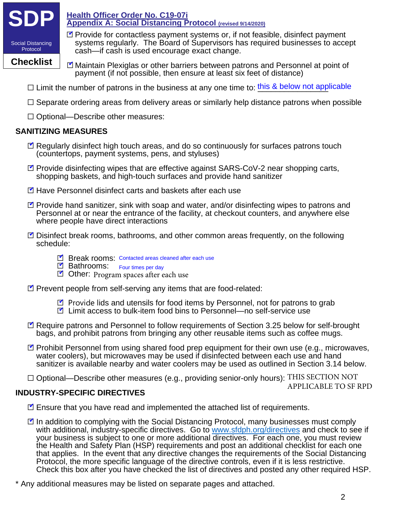

**Checklist**

**Health Officer Order No. C19-07i Appendix A: Social Distancing Protocol (revised 9/14/2020)**

- systems regularly. The Board of Supervisors has required businesses to accept
	- cash—if cash is used encourage exact change. ◘ Maintain Plexiglas or other barriers between patrons and Personnel at point of payment (if not possible, then ensure at least six feet of distance)

■ Provide for contactless payment systems or, if not feasible, disinfect payment

- $\Box$  Limit the number of patrons in the business at any one time to:  $\frac{\text{this 8 below not applicable}}{}$
- $\Box$  Separate ordering areas from delivery areas or similarly help distance patrons when possible
- ☐ Optional—Describe other measures:

# **SANITIZING MEASURES**

- Regularly disinfect high touch areas, and do so continuously for surfaces patrons touch (countertops, payment systems, pens, and styluses)
- Provide disinfecting wipes that are effective against SARS-CoV-2 near shopping carts, shopping baskets, and high-touch surfaces and provide hand sanitizer
- **Ø** Have Personnel disinfect carts and baskets after each use
- Provide hand sanitizer, sink with soap and water, and/or disinfecting wipes to patrons and Personnel at or near the entrance of the facility, at checkout counters, and anywhere else where people have direct interactions
- Disinfect break rooms, bathrooms, and other common areas frequently, on the following schedule:
	- **Separated Arish Separated Arish Separated areas cleaned after each use**
	- E Bathrooms: Four times per day
	- Other: Program spaces after each use
- **Ø** Prevent people from self-serving any items that are food-related:
	- Provide lids and utensils for food items by Personnel, not for patrons to grab
	- **Ø** Limit access to bulk-item food bins to Personnel—no self-service use
- Require patrons and Personnel to follow requirements of Section 3.25 below for self-brought bags, and prohibit patrons from bringing any other reusable items such as coffee mugs.
- Prohibit Personnel from using shared food prep equipment for their own use (e.g., microwaves, water coolers), but microwaves may be used if disinfected between each use and hand sanitizer is available nearby and water coolers may be used as outlined in Section 3.14 below.
- $\Box$  Optional—Describe other measures (e.g., providing senior-only hours): THIS SECTION NOT APPLICABLE TO SF RPD

# **INDUSTRY-SPECIFIC DIRECTIVES**

- **Ø** Ensure that you have read and implemented the attached list of requirements.
- ◘ In addition to complying with the Social Distancing Protocol, many businesses must comply with additional, industry-specific directives. Go to www.sfdph.org/directives and check to see if your business is subject to one or more additional directives. For each one, you must review the Health and Safety Plan (HSP) requirements and post an additional checklist for each one that applies. In the event that any directive changes the requirements of the Social Distancing Protocol, the more specific language of the directive controls, even if it is less restrictive. Check this box after you have checked the list of directives and posted any other required HSP.
- \* Any additional measures may be listed on separate pages and attached.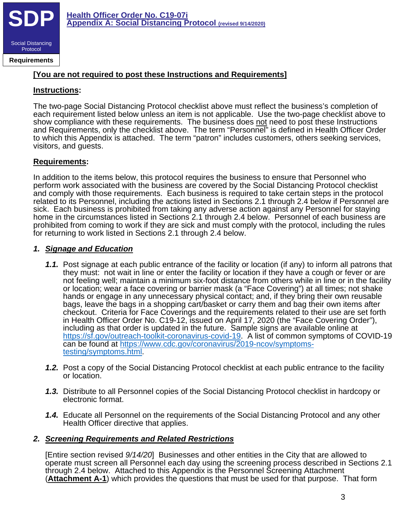

**Requirements**

# **[You are not required to post these Instructions and Requirements]**

### **Instructions:**

The two-page Social Distancing Protocol checklist above must reflect the business's completion of each requirement listed below unless an item is not applicable. Use the two-page checklist above to show compliance with these requirements. The business does not need to post these Instructions and Requirements, only the checklist above. The term "Personnel" is defined in Health Officer Order to which this Appendix is attached. The term "patron" includes customers, others seeking services, visitors, and guests.

### **Requirements:**

In addition to the items below, this protocol requires the business to ensure that Personnel who perform work associated with the business are covered by the Social Distancing Protocol checklist and comply with those requirements. Each business is required to take certain steps in the protocol related to its Personnel, including the actions listed in Sections 2.1 through 2.4 below if Personnel are sick. Each business is prohibited from taking any adverse action against any Personnel for staying home in the circumstances listed in Sections 2.1 through 2.4 below. Personnel of each business are prohibited from coming to work if they are sick and must comply with the protocol, including the rules for returning to work listed in Sections 2.1 through 2.4 below.

# *1. Signage and Education*

- *1.1.* Post signage at each public entrance of the facility or location (if any) to inform all patrons that they must: not wait in line or enter the facility or location if they have a cough or fever or are not feeling well; maintain a minimum six-foot distance from others while in line or in the facility or location; wear a face covering or barrier mask (a "Face Covering") at all times; not shake hands or engage in any unnecessary physical contact; and, if they bring their own reusable bags, leave the bags in a shopping cart/basket or carry them and bag their own items after checkout. Criteria for Face Coverings and the requirements related to their use are set forth in Health Officer Order No. C19-12, issued on April 17, 2020 (the "Face Covering Order"), including as that order is updated in the future. Sample signs are available online at https://sf.gov/outreach-toolkit-coronavirus-covid-19. A list of common symptoms of COVID-19 can be found at https://www.cdc.gov/coronavirus/2019-ncov/symptoms-<br>testing/symptoms.html.
- *1.2.* Post a copy of the Social Distancing Protocol checklist at each public entrance to the facility or location.
- *1.3.* Distribute to all Personnel copies of the Social Distancing Protocol checklist in hardcopy or electronic format.
- *1.4.* Educate all Personnel on the requirements of the Social Distancing Protocol and any other Health Officer directive that applies.

# *2. Screening Requirements and Related Restrictions*

[Entire section revised *9/14/20*] Businesses and other entities in the City that are allowed to operate must screen all Personnel each day using the screening process described in Sections 2.1 through 2.4 below. Attached to this Appendix is the Personnel Screening Attachment (**Attachment A-1**) which provides the questions that must be used for that purpose. That form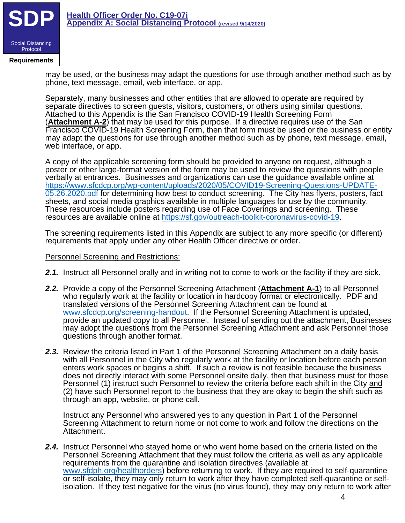

**Requirements**

may be used, or the business may adapt the questions for use through another method such as by phone, text message, email, web interface, or app.

Separately, many businesses and other entities that are allowed to operate are required by separate directives to screen guests, visitors, customers, or others using similar questions. Attached to this Appendix is the San Francisco COVID-19 Health Screening Form (**Attachment A-2**) that may be used for this purpose. If a directive requires use of the San Francisco COVID-19 Health Screening Form, then that form must be used or the business or entity may adapt the questions for use through another method such as by phone, text message, email, web interface, or app.

A copy of the applicable screening form should be provided to anyone on request, although a poster or other large-format version of the form may be used to review the questions with people verbally at entrances. Businesses and organizations can use the guidance available online at https://www.sfcdcp.org/wp-content/uploads/2020/05/COVID19-Screening-Questions-UPDATE-05.26.2020.pdf for determining how best to conduct screening. The City has flyers, posters, fact sheets, and social media graphics available in multiple languages for use by the community. These resources include posters regarding use of Face Coverings and screening. These resources are available online at https://sf.gov/outreach-toolkit-coronavirus-covid-19.

The screening requirements listed in this Appendix are subject to any more specific (or different) requirements that apply under any other Health Officer directive or order.

#### Personnel Screening and Restrictions:

- **2.1.** Instruct all Personnel orally and in writing not to come to work or the facility if they are sick.
- *2.2.* Provide a copy of the Personnel Screening Attachment (**Attachment A-1**) to all Personnel who regularly work at the facility or location in hardcopy format or electronically. PDF and translated versions of the Personnel Screening Attachment can be found at www.sfcdcp.org/screening-handout. If the Personnel Screening Attachment is updated, provide an updated copy to all Personnel. Instead of sending out the attachment, Businesses may adopt the questions from the Personnel Screening Attachment and ask Personnel those questions through another format.
- **2.3.** Review the criteria listed in Part 1 of the Personnel Screening Attachment on a daily basis with all Personnel in the City who regularly work at the facility or location before each person enters work spaces or begins a shift. If such a review is not feasible because the business does not directly interact with some Personnel onsite daily, then that business must for those Personnel (1) instruct such Personnel to review the criteria before each shift in the City and (2) have such Personnel report to the business that they are okay to begin the shift such as through an app, website, or phone call.

Instruct any Personnel who answered yes to any question in Part 1 of the Personnel Screening Attachment to return home or not come to work and follow the directions on the Attachment.

*2.4.* Instruct Personnel who stayed home or who went home based on the criteria listed on the Personnel Screening Attachment that they must follow the criteria as well as any applicable requirements from the quarantine and isolation directives (available at www.sfdph.org/healthorders) before returning to work. If they are required to self-quarantine or self-isolate, they may only return to work after they have completed self-quarantine or selfisolation. If they test negative for the virus (no virus found), they may only return to work after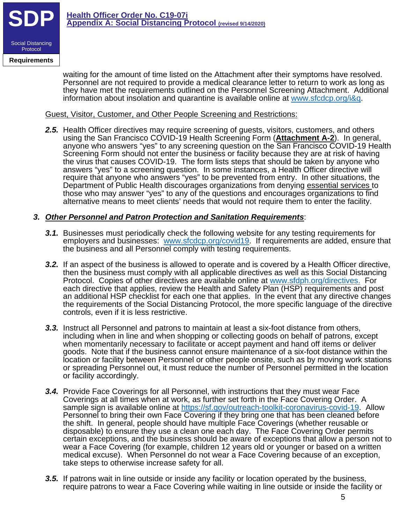

**Requirements**

waiting for the amount of time listed on the Attachment after their symptoms have resolved. Personnel are not required to provide a medical clearance letter to return to work as long as they have met the requirements outlined on the Personnel Screening Attachment. Additional information about insolation and quarantine is available online at www.sfcdcp.org/i&q.

# Guest, Visitor, Customer, and Other People Screening and Restrictions:

*2.5.* Health Officer directives may require screening of guests, visitors, customers, and others using the San Francisco COVID-19 Health Screening Form (**Attachment A-2**). In general, anyone who answers "yes" to any screening question on the San Francisco COVID-19 Health Screening Form should not enter the business or facility because they are at risk of having the virus that causes COVID-19. The form lists steps that should be taken by anyone who answers "yes" to a screening question. In some instances, a Health Officer directive will require that anyone who answers "yes" to be prevented from entry. In other situations, the Department of Public Health discourages organizations from denying essential services to those who may answer "yes" to any of the questions and encourages organizations to find alternative means to meet clients' needs that would not require them to enter the facility.

# *3. Other Personnel and Patron Protection and Sanitation Requirements*:

- *3.1.* Businesses must periodically check the following website for any testing requirements for employers and businesses: www.sfcdcp.org/covid19. If requirements are added, ensure that the business and all Personnel comply with testing requirements.
- *3.2.* If an aspect of the business is allowed to operate and is covered by a Health Officer directive, then the business must comply with all applicable directives as well as this Social Distancing Protocol. Copies of other directives are available online at www.sfdph.org/directives. For each directive that applies, review the Health and Safety Plan (HSP) requirements and post an additional HSP checklist for each one that applies. In the event that any directive changes the requirements of the Social Distancing Protocol, the more specific language of the directive controls, even if it is less restrictive.
- *3.3.* Instruct all Personnel and patrons to maintain at least a six-foot distance from others, including when in line and when shopping or collecting goods on behalf of patrons, except when momentarily necessary to facilitate or accept payment and hand off items or deliver goods. Note that if the business cannot ensure maintenance of a six-foot distance within the location or facility between Personnel or other people onsite, such as by moving work stations or spreading Personnel out, it must reduce the number of Personnel permitted in the location or facility accordingly.
- *3.4.* Provide Face Coverings for all Personnel, with instructions that they must wear Face Coverings at all times when at work, as further set forth in the Face Covering Order. A sample sign is available online at https://sf.gov/outreach-toolkit-coronavirus-covid-19. Allow Personnel to bring their own Face Covering if they bring one that has been cleaned before the shift. In general, people should have multiple Face Coverings (whether reusable or disposable) to ensure they use a clean one each day. The Face Covering Order permits certain exceptions, and the business should be aware of exceptions that allow a person not to wear a Face Covering (for example, children 12 years old or younger or based on a written medical excuse). When Personnel do not wear a Face Covering because of an exception, take steps to otherwise increase safety for all.
- *3.5.* If patrons wait in line outside or inside any facility or location operated by the business, require patrons to wear a Face Covering while waiting in line outside or inside the facility or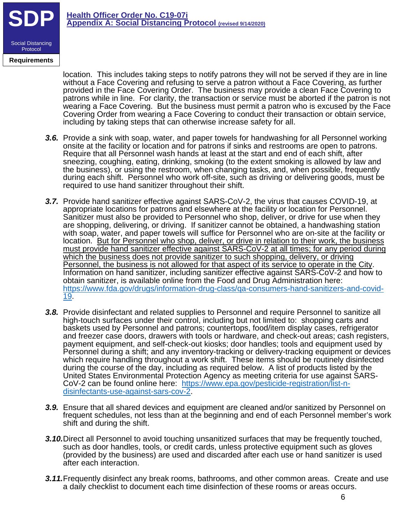

**Requirements**

location. This includes taking steps to notify patrons they will not be served if they are in line without a Face Covering and refusing to serve a patron without a Face Covering, as further provided in the Face Covering Order. The business may provide a clean Face Covering to patrons while in line. For clarity, the transaction or service must be aborted if the patron is not wearing a Face Covering. But the business must permit a patron who is excused by the Face Covering Order from wearing a Face Covering to conduct their transaction or obtain service, including by taking steps that can otherwise increase safety for all.

- **3.6.** Provide a sink with soap, water, and paper towels for handwashing for all Personnel working onsite at the facility or location and for patrons if sinks and restrooms are open to patrons. Require that all Personnel wash hands at least at the start and end of each shift, after sneezing, coughing, eating, drinking, smoking (to the extent smoking is allowed by law and the business), or using the restroom, when changing tasks, and, when possible, frequently during each shift. Personnel who work off-site, such as driving or delivering goods, must be required to use hand sanitizer throughout their shift.
- *3.7.* Provide hand sanitizer effective against SARS-CoV-2, the virus that causes COVID-19, at appropriate locations for patrons and elsewhere at the facility or location for Personnel. Sanitizer must also be provided to Personnel who shop, deliver, or drive for use when they are shopping, delivering, or driving. If sanitizer cannot be obtained, a handwashing station with soap, water, and paper towels will suffice for Personnel who are on-site at the facility or location. But for Personnel who shop, deliver, or drive in relation to their work, the business must provide hand sanitizer effective against SARS-CoV-2 at all times; for any period during which the business does not provide sanitizer to such shopping, delivery, or driving Personnel, the business is not allowed for that aspect of its service to operate in the City.<br>Information on hand sanitizer, including sanitizer effective against SARS-CoV-2 and how to obtain sanitizer, is available online from the Food and Drug Administration here: https://www.fda.gov/drugs/information-drug-class/qa-consumers-hand-sanitizers-and-covid-19.
- *3.8.* Provide disinfectant and related supplies to Personnel and require Personnel to sanitize all high-touch surfaces under their control, including but not limited to: shopping carts and baskets used by Personnel and patrons; countertops, food/item display cases, refrigerator and freezer case doors, drawers with tools or hardware, and check-out areas; cash registers, payment equipment, and self-check-out kiosks; door handles; tools and equipment used by Personnel during a shift; and any inventory-tracking or delivery-tracking equipment or devices which require handling throughout a work shift. These items should be routinely disinfected during the course of the day, including as required below. A list of products listed by the<br>United States Environmental Protection Agency as meeting criteria for use against SARS-CoV-2 can be found online here: https://www.epa.gov/pesticide-registration/list-ndisinfectants-use-against-sars-cov-2.
- *3.9.* Ensure that all shared devices and equipment are cleaned and/or sanitized by Personnel on frequent schedules, not less than at the beginning and end of each Personnel member's work shift and during the shift.
- *3.10.*Direct all Personnel to avoid touching unsanitized surfaces that may be frequently touched, such as door handles, tools, or credit cards, unless protective equipment such as gloves (provided by the business) are used and discarded after each use or hand sanitizer is used after each interaction.
- **3.11.**Frequently disinfect any break rooms, bathrooms, and other common areas. Create and use a daily checklist to document each time disinfection of these rooms or areas occurs.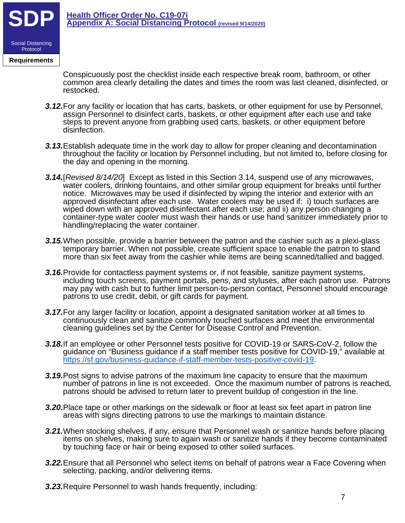

**Requirements**

Conspicuously post the checklist inside each respective break room, bathroom, or other common area clearly detailing the dates and times the room was last cleaned, disinfected, or restocked.

- *3.12.*For any facility or location that has carts, baskets, or other equipment for use by Personnel, assign Personnel to disinfect carts, baskets, or other equipment after each use and take steps to prevent anyone from grabbing used carts, baskets, or other equipment before disinfection.
- *3.13.*Establish adequate time in the work day to allow for proper cleaning and decontamination throughout the facility or location by Personnel including, but not limited to, before closing for the day and opening in the morning.
- *3.14.*[*Revised 8/14/20*] Except as listed in this Section 3.14, suspend use of any microwaves, water coolers, drinking fountains, and other similar group equipment for breaks until further notice. Microwaves may be used if disinfected by wiping the interior and exterior with an approved disinfectant after each use. Water coolers may be used if: i) touch surfaces are wiped down with an approved disinfectant after each use; and ii) any person changing a container-type water cooler must wash their hands or use hand sanitizer immediately prior to handling/replacing the water container.
- *3.15.*When possible, provide a barrier between the patron and the cashier such as a plexi-glass temporary barrier. When not possible, create sufficient space to enable the patron to stand more than six feet away from the cashier while items are being scanned/tallied and bagged.
- *3.16.*Provide for contactless payment systems or, if not feasible, sanitize payment systems, including touch screens, payment portals, pens, and styluses, after each patron use. Patrons may pay with cash but to further limit person-to-person contact, Personnel should encourage patrons to use credit, debit, or gift cards for payment.
- *3.17.*For any larger facility or location, appoint a designated sanitation worker at all times to continuously clean and sanitize commonly touched surfaces and meet the environmental cleaning guidelines set by the Center for Disease Control and Prevention.
- *3.18.*If an employee or other Personnel tests positive for COVID-19 or SARS-CoV-2, follow the guidance on "Business guidance if a staff member tests positive for COVID-19," available at https://sf.gov/business-guidance-if-staff-member-tests-positive-covid-19.
- *3.19.*Post signs to advise patrons of the maximum line capacity to ensure that the maximum number of patrons in line is not exceeded. Once the maximum number of patrons is reached, patrons should be advised to return later to prevent buildup of congestion in the line.
- *3.20.*Place tape or other markings on the sidewalk or floor at least six feet apart in patron line areas with signs directing patrons to use the markings to maintain distance.
- *3.21.*When stocking shelves, if any, ensure that Personnel wash or sanitize hands before placing items on shelves, making sure to again wash or sanitize hands if they become contaminated by touching face or hair or being exposed to other soiled surfaces.
- *3.22.*Ensure that all Personnel who select items on behalf of patrons wear a Face Covering when selecting, packing, and/or delivering items.
- *3.23.*Require Personnel to wash hands frequently, including: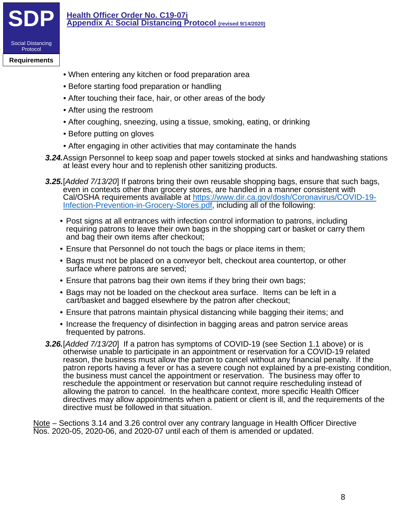

#### **Requirements**

- When entering any kitchen or food preparation area
- Before starting food preparation or handling
- After touching their face, hair, or other areas of the body
- After using the restroom
- After coughing, sneezing, using a tissue, smoking, eating, or drinking
- Before putting on gloves
- After engaging in other activities that may contaminate the hands
- *3.24.*Assign Personnel to keep soap and paper towels stocked at sinks and handwashing stations at least every hour and to replenish other sanitizing products.
- **3.25.**[*Added 7/13/20*] If patrons bring their own reusable shopping bags, ensure that such bags, even in contexts other than grocery stores, are handled in a manner consistent with Cal/OSHA requirements available at https://www.dir.ca.gov/dosh/Coronavirus/COVID-19-<br>Infection-Prevention-in-Grocery-Stores.pdf, including all of the following:
	- Post signs at all entrances with infection control information to patrons, including requiring patrons to leave their own bags in the shopping cart or basket or carry them and bag their own items after checkout;
	- Ensure that Personnel do not touch the bags or place items in them;
	- Bags must not be placed on a conveyor belt, checkout area countertop, or other surface where patrons are served;
	- Ensure that patrons bag their own items if they bring their own bags;
	- Bags may not be loaded on the checkout area surface. Items can be left in a cart/basket and bagged elsewhere by the patron after checkout;
	- Ensure that patrons maintain physical distancing while bagging their items; and
	- Increase the frequency of disinfection in bagging areas and patron service areas frequented by patrons.
- *3.26.*[*Added 7/13/20*] If a patron has symptoms of COVID-19 (see Section 1.1 above) or is otherwise unable to participate in an appointment or reservation for a COVID-19 related reason, the business must allow the patron to cancel without any financial penalty. If the patron reports having a fever or has a severe cough not explained by a pre-existing condition, the business must cancel the appointment or reservation. The business may offer to reschedule the appointment or reservation but cannot require rescheduling instead of allowing the patron to cancel. In the healthcare context, more specific Health Officer directives may allow appointments when a patient or client is ill, and the requirements of the directive must be followed in that situation.

Note – Sections 3.14 and 3.26 control over any contrary language in Health Officer Directive Nos. 2020-05, 2020-06, and 2020-07 until each of them is amended or updated.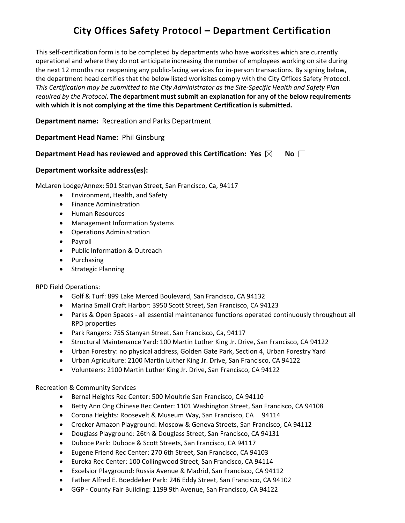# **City Offices Safety Protocol – Department Certification**

This self-certification form is to be completed by departments who have worksites which are currently operational and where they do not anticipate increasing the number of employees working on site during the next 12 months nor reopening any public-facing services for in-person transactions. By signing below, the department head certifies that the below listed worksites comply with the City Offices Safety Protocol. *This Certification may be submitted to the City Administrator as the Site-Specific Health and Safety Plan required by the Protocol*. **The department must submit an explanation for any of the below requirements with which it is not complying at the time this Department Certification is submitted.**

**Department name:** Recreation and Parks Department

**Department Head Name:** Phil Ginsburg

#### **Department Head has reviewed and approved this Certification: Yes**  $\boxtimes$  **No**  $\Box$

#### **Department worksite address(es):**

McLaren Lodge/Annex: 501 Stanyan Street, San Francisco, Ca, 94117

- Environment, Health, and Safety
- Finance Administration
- Human Resources
- Management Information Systems
- Operations Administration
- Payroll
- Public Information & Outreach
- Purchasing
- Strategic Planning

RPD Field Operations:

- Golf & Turf: 899 Lake Merced Boulevard, San Francisco, CA 94132
- Marina Small Craft Harbor: 3950 Scott Street, San Francisco, CA 94123
- Parks & Open Spaces all essential maintenance functions operated continuously throughout all RPD properties
- Park Rangers: 755 Stanyan Street, San Francisco, Ca, 94117
- Structural Maintenance Yard: 100 Martin Luther King Jr. Drive, San Francisco, CA 94122
- Urban Forestry: no physical address, Golden Gate Park, Section 4, Urban Forestry Yard
- Urban Agriculture: 2100 Martin Luther King Jr. Drive, San Francisco, CA 94122
- Volunteers: 2100 Martin Luther King Jr. Drive, San Francisco, CA 94122

#### Recreation & Community Services

- Bernal Heights Rec Center: 500 Moultrie San Francisco, CA 94110
- Betty Ann Ong Chinese Rec Center: 1101 Washington Street, San Francisco, CA 94108
- Corona Heights: Roosevelt & Museum Way, San Francisco, CA 94114
- Crocker Amazon Playground: Moscow & Geneva Streets, San Francisco, CA 94112
- Douglass Playground: 26th & Douglass Street, San Francisco, CA 94131
- Duboce Park: Duboce & Scott Streets, San Francisco, CA 94117
- Eugene Friend Rec Center: 270 6th Street, San Francisco, CA 94103
- Eureka Rec Center: 100 Collingwood Street, San Francisco, CA 94114
- Excelsior Playground: Russia Avenue & Madrid, San Francisco, CA 94112
- Father Alfred E. Boeddeker Park: 246 Eddy Street, San Francisco, CA 94102
- GGP County Fair Building: 1199 9th Avenue, San Francisco, CA 94122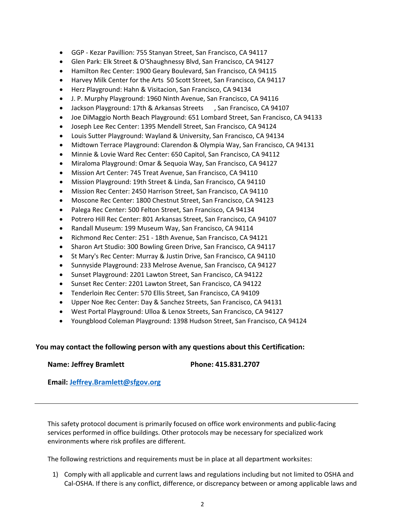- GGP Kezar Pavillion: 755 Stanyan Street, San Francisco, CA 94117
- Glen Park: Elk Street & O'Shaughnessy Blvd, San Francisco, CA 94127
- Hamilton Rec Center: 1900 Geary Boulevard, San Francisco, CA 94115
- Harvey Milk Center for the Arts 50 Scott Street, San Francisco, CA 94117
- Herz Playground: Hahn & Visitacion, San Francisco, CA 94134
- J. P. Murphy Playground: 1960 Ninth Avenue, San Francisco, CA 94116
- Jackson Playground: 17th & Arkansas Streets , San Francisco, CA 94107
- Joe DiMaggio North Beach Playground: 651 Lombard Street, San Francisco, CA 94133
- Joseph Lee Rec Center: 1395 Mendell Street, San Francisco, CA 94124
- Louis Sutter Playground: Wayland & University, San Francisco, CA 94134
- Midtown Terrace Playground: Clarendon & Olympia Way, San Francisco, CA 94131
- Minnie & Lovie Ward Rec Center: 650 Capitol, San Francisco, CA 94112
- Miraloma Playground: Omar & Sequoia Way, San Francisco, CA 94127
- Mission Art Center: 745 Treat Avenue, San Francisco, CA 94110
- Mission Playground: 19th Street & Linda, San Francisco, CA 94110
- Mission Rec Center: 2450 Harrison Street, San Francisco, CA 94110
- Moscone Rec Center: 1800 Chestnut Street, San Francisco, CA 94123
- Palega Rec Center: 500 Felton Street, San Francisco, CA 94134
- Potrero Hill Rec Center: 801 Arkansas Street, San Francisco, CA 94107
- Randall Museum: 199 Museum Way, San Francisco, CA 94114
- Richmond Rec Center: 251 18th Avenue, San Francisco, CA 94121
- Sharon Art Studio: 300 Bowling Green Drive, San Francisco, CA 94117
- St Mary's Rec Center: Murray & Justin Drive, San Francisco, CA 94110
- Sunnyside Playground: 233 Melrose Avenue, San Francisco, CA 94127
- Sunset Playground: 2201 Lawton Street, San Francisco, CA 94122
- Sunset Rec Center: 2201 Lawton Street, San Francisco, CA 94122
- Tenderloin Rec Center: 570 Ellis Street, San Francisco, CA 94109
- Upper Noe Rec Center: Day & Sanchez Streets, San Francisco, CA 94131
- West Portal Playground: Ulloa & Lenox Streets, San Francisco, CA 94127
- Youngblood Coleman Playground: 1398 Hudson Street, San Francisco, CA 94124

#### **You may contact the following person with any questions about this Certification:**

**Name: Jeffrey Bramlett Phone: 415.831.2707**

**Email: [Jeffrey.Bramlett@sfgov.org](mailto:Jeffrey.Bramlett@sfgov.org)**

This safety protocol document is primarily focused on office work environments and public-facing services performed in office buildings. Other protocols may be necessary for specialized work environments where risk profiles are different.

The following restrictions and requirements must be in place at all department worksites:

1) Comply with all applicable and current laws and regulations including but not limited to OSHA and Cal-OSHA. If there is any conflict, difference, or discrepancy between or among applicable laws and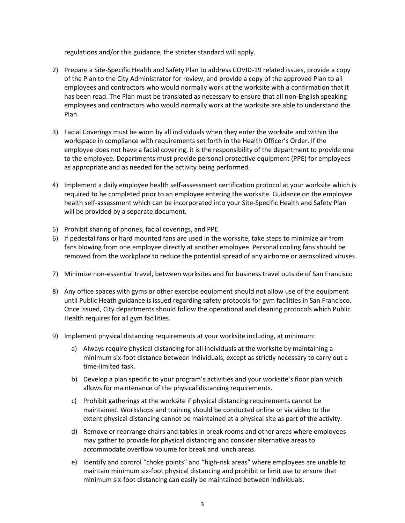regulations and/or this guidance, the stricter standard will apply.

- 2) Prepare a Site-Specific Health and Safety Plan to address COVID-19 related issues, provide a copy of the Plan to the City Administrator for review, and provide a copy of the approved Plan to all employees and contractors who would normally work at the worksite with a confirmation that it has been read. The Plan must be translated as necessary to ensure that all non-English speaking employees and contractors who would normally work at the worksite are able to understand the Plan.
- 3) Facial Coverings must be worn by all individuals when they enter the worksite and within the workspace in compliance with requirements set forth in the Health Officer's Order. If the employee does not have a facial covering, it is the responsibility of the department to provide one to the employee. Departments must provide personal protective equipment (PPE) for employees as appropriate and as needed for the activity being performed.
- 4) Implement a daily employee health self-assessment certification protocol at your worksite which is required to be completed prior to an employee entering the worksite. Guidance on the employee health self-assessment which can be incorporated into your Site-Specific Health and Safety Plan will be provided by a separate document.
- 5) Prohibit sharing of phones, facial coverings, and PPE.
- 6) If pedestal fans or hard mounted fans are used in the worksite, take steps to minimize air from fans blowing from one employee directly at another employee. Personal cooling fans should be removed from the workplace to reduce the potential spread of any airborne or aerosolized viruses.
- 7) Minimize non-essential travel, between worksites and for business travel outside of San Francisco
- 8) Any office spaces with gyms or other exercise equipment should not allow use of the equipment until Public Heath guidance is issued regarding safety protocols for gym facilities in San Francisco. Once issued, City departments should follow the operational and cleaning protocols which Public Health requires for all gym facilities.
- 9) Implement physical distancing requirements at your worksite including, at minimum:
	- a) Always require physical distancing for all individuals at the worksite by maintaining a minimum six-foot distance between individuals, except as strictly necessary to carry out a time-limited task.
	- b) Develop a plan specific to your program's activities and your worksite's floor plan which allows for maintenance of the physical distancing requirements.
	- c) Prohibit gatherings at the worksite if physical distancing requirements cannot be maintained. Workshops and training should be conducted online or via video to the extent physical distancing cannot be maintained at a physical site as part of the activity.
	- d) Remove or rearrange chairs and tables in break rooms and other areas where employees may gather to provide for physical distancing and consider alternative areas to accommodate overflow volume for break and lunch areas.
	- e) Identify and control "choke points" and "high-risk areas" where employees are unable to maintain minimum six-foot physical distancing and prohibit orlimit use to ensure that minimum six-foot distancing can easily be maintained between individuals.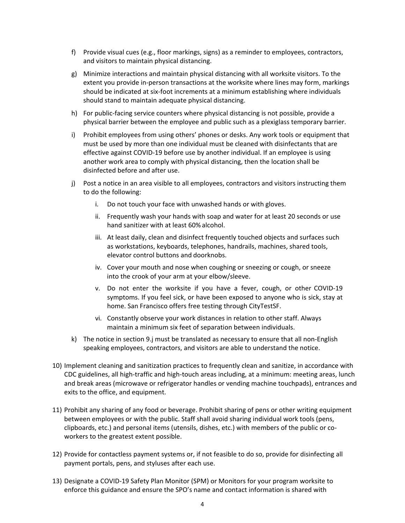- f) Provide visual cues (e.g., floor markings, signs) as a reminder to employees, contractors, and visitors to maintain physical distancing.
- g) Minimize interactions and maintain physical distancing with all worksite visitors. To the extent you provide in-person transactions at the worksite where lines may form, markings should be indicated at six-foot increments at a minimum establishing where individuals should stand to maintain adequate physical distancing.
- h) For public-facing service counters where physical distancing is not possible, provide a physical barrier between the employee and public such as a plexiglass temporary barrier.
- i) Prohibit employees from using others' phones or desks. Any work tools or equipment that must be used by more than one individual must be cleaned with disinfectants that are effective against COVID-19 before use by another individual. If an employee is using another work area to comply with physical distancing, then the location shall be disinfected before and after use.
- j) Post a notice in an area visible to all employees, contractors and visitors instructing them to do the following:
	- i. Do not touch your face with unwashed hands or with gloves.
	- ii. Frequently wash your hands with soap and water for at least 20 seconds or use hand sanitizer with at least 60% alcohol.
	- iii. At least daily, clean and disinfect frequently touched objects and surfaces such as workstations, keyboards, telephones, handrails, machines, shared tools, elevator control buttons and doorknobs.
	- iv. Cover your mouth and nose when coughing or sneezing or cough, or sneeze into the crook of your arm at your elbow/sleeve.
	- v. Do not enter the worksite if you have a fever, cough, or other COVID-19 symptoms. If you feel sick, or have been exposed to anyone who is sick, stay at home. San Francisco offers free testing through CityTestSF.
	- vi. Constantly observe your work distances in relation to other staff. Always maintain a minimum six feet of separation between individuals.
- k) The notice in section 9.j must be translated as necessary to ensure that all non-English speaking employees, contractors, and visitors are able to understand the notice.
- 10) Implement cleaning and sanitization practices to frequently clean and sanitize, in accordance with CDC guidelines, all high-traffic and high-touch areas including, at a minimum: meeting areas, lunch and break areas (microwave or refrigerator handles or vending machine touchpads), entrances and exits to the office, and equipment.
- 11) Prohibit any sharing of any food or beverage. Prohibit sharing of pens or other writing equipment between employees or with the public. Staff shall avoid sharing individual work tools (pens, clipboards, etc.) and personal items (utensils, dishes, etc.) with members of the public or coworkers to the greatest extent possible.
- 12) Provide for contactless payment systems or, if not feasible to do so, provide for disinfecting all payment portals, pens, and styluses after each use.
- 13) Designate a COVID-19 Safety Plan Monitor (SPM) or Monitors for your program worksite to enforce this guidance and ensure the SPO's name and contact information is shared with